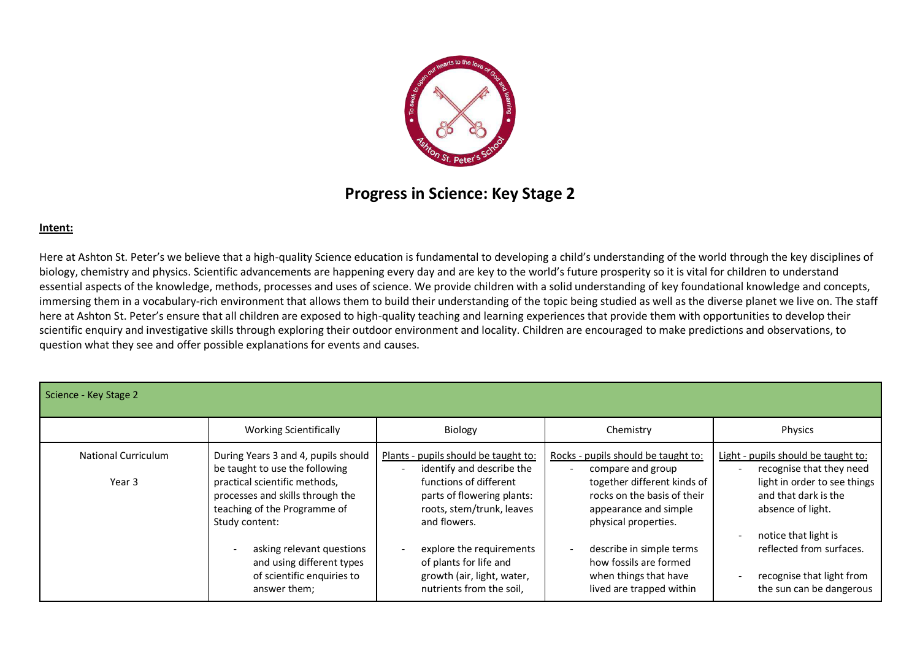

# **Progress in Science: Key Stage 2**

#### **Intent:**

Here at Ashton St. Peter's we believe that a high-quality Science education is fundamental to developing a child's understanding of the world through the key disciplines of biology, chemistry and physics. Scientific advancements are happening every day and are key to the world's future prosperity so it is vital for children to understand essential aspects of the knowledge, methods, processes and uses of science. We provide children with a solid understanding of key foundational knowledge and concepts, immersing them in a vocabulary-rich environment that allows them to build their understanding of the topic being studied as well as the diverse planet we live on. The staff here at Ashton St. Peter's ensure that all children are exposed to high-quality teaching and learning experiences that provide them with opportunities to develop their scientific enquiry and investigative skills through exploring their outdoor environment and locality. Children are encouraged to make predictions and observations, to question what they see and offer possible explanations for events and causes.

| Science - Key Stage 2                |                                                                                                                                                                                                                                                                                                                                  |                                                                                                                                                                                                                                                                                        |                                                                                                                                                                                                                                                                                    |                                                                                                                                                                                                                                                           |
|--------------------------------------|----------------------------------------------------------------------------------------------------------------------------------------------------------------------------------------------------------------------------------------------------------------------------------------------------------------------------------|----------------------------------------------------------------------------------------------------------------------------------------------------------------------------------------------------------------------------------------------------------------------------------------|------------------------------------------------------------------------------------------------------------------------------------------------------------------------------------------------------------------------------------------------------------------------------------|-----------------------------------------------------------------------------------------------------------------------------------------------------------------------------------------------------------------------------------------------------------|
|                                      | <b>Working Scientifically</b>                                                                                                                                                                                                                                                                                                    | Biology                                                                                                                                                                                                                                                                                | Chemistry                                                                                                                                                                                                                                                                          | Physics                                                                                                                                                                                                                                                   |
| <b>National Curriculum</b><br>Year 3 | During Years 3 and 4, pupils should<br>be taught to use the following<br>practical scientific methods,<br>processes and skills through the<br>teaching of the Programme of<br>Study content:<br>asking relevant questions<br>$\overline{\phantom{a}}$<br>and using different types<br>of scientific enquiries to<br>answer them; | Plants - pupils should be taught to:<br>identify and describe the<br>functions of different<br>parts of flowering plants:<br>roots, stem/trunk, leaves<br>and flowers.<br>explore the requirements<br>of plants for life and<br>growth (air, light, water,<br>nutrients from the soil, | Rocks - pupils should be taught to:<br>compare and group<br>together different kinds of<br>rocks on the basis of their<br>appearance and simple<br>physical properties.<br>describe in simple terms<br>how fossils are formed<br>when things that have<br>lived are trapped within | Light - pupils should be taught to:<br>recognise that they need<br>light in order to see things<br>and that dark is the<br>absence of light.<br>notice that light is<br>reflected from surfaces.<br>recognise that light from<br>the sun can be dangerous |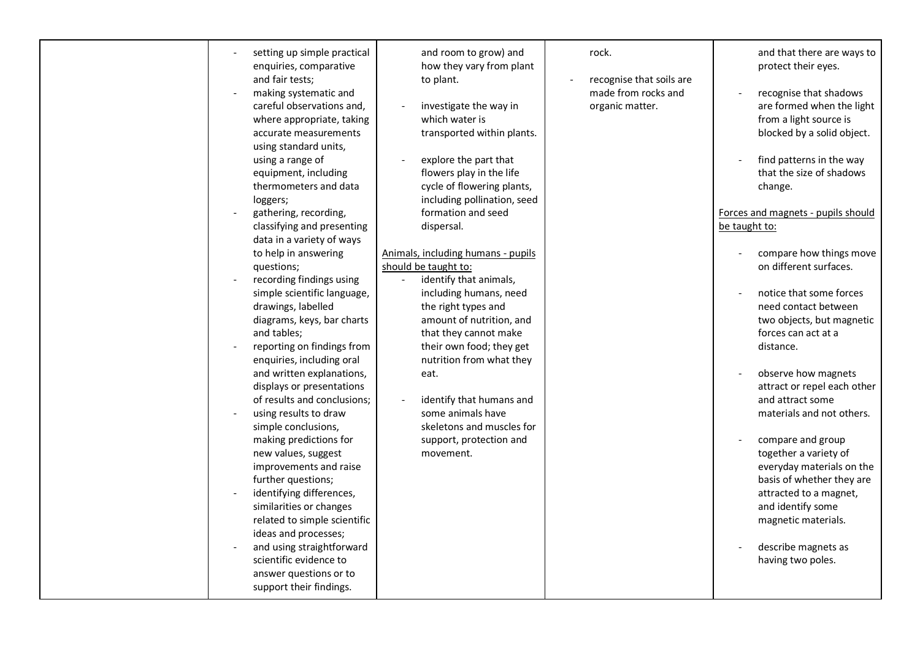| setting up simple practical<br>enquiries, comparative<br>and fair tests;<br>making systematic and<br>careful observations and,<br>where appropriate, taking<br>accurate measurements<br>using standard units,<br>using a range of<br>equipment, including<br>thermometers and data<br>loggers;<br>gathering, recording,<br>classifying and presenting<br>data in a variety of ways<br>to help in answering<br>questions;<br>recording findings using<br>simple scientific language,<br>drawings, labelled<br>diagrams, keys, bar charts<br>and tables;<br>reporting on findings from<br>enquiries, including oral<br>and written explanations,<br>displays or presentations<br>of results and conclusions;<br>using results to draw<br>simple conclusions,<br>making predictions for<br>new values, suggest<br>improvements and raise<br>further questions;<br>identifying differences,<br>similarities or changes<br>related to simple scientific<br>ideas and processes;<br>and using straightforward<br>scientific evidence to<br>answer questions or to<br>support their findings. | and room to grow) and<br>how they vary from plant<br>to plant.<br>investigate the way in<br>which water is<br>transported within plants.<br>explore the part that<br>flowers play in the life<br>cycle of flowering plants,<br>including pollination, seed<br>formation and seed<br>dispersal.<br>Animals, including humans - pupils<br>should be taught to:<br>identify that animals,<br>including humans, need<br>the right types and<br>amount of nutrition, and<br>that they cannot make<br>their own food; they get<br>nutrition from what they<br>eat.<br>identify that humans and<br>some animals have<br>skeletons and muscles for<br>support, protection and<br>movement. | rock.<br>recognise that soils are<br>made from rocks and<br>organic matter. | and that there are ways to<br>protect their eyes.<br>recognise that shadows<br>are formed when the light<br>from a light source is<br>blocked by a solid object.<br>find patterns in the way<br>that the size of shadows<br>change.<br>Forces and magnets - pupils should<br>be taught to:<br>compare how things move<br>on different surfaces.<br>notice that some forces<br>need contact between<br>two objects, but magnetic<br>forces can act at a<br>distance.<br>observe how magnets<br>attract or repel each other<br>and attract some<br>materials and not others.<br>compare and group<br>together a variety of<br>everyday materials on the<br>basis of whether they are<br>attracted to a magnet,<br>and identify some<br>magnetic materials.<br>describe magnets as<br>having two poles. |
|----------------------------------------------------------------------------------------------------------------------------------------------------------------------------------------------------------------------------------------------------------------------------------------------------------------------------------------------------------------------------------------------------------------------------------------------------------------------------------------------------------------------------------------------------------------------------------------------------------------------------------------------------------------------------------------------------------------------------------------------------------------------------------------------------------------------------------------------------------------------------------------------------------------------------------------------------------------------------------------------------------------------------------------------------------------------------------------|------------------------------------------------------------------------------------------------------------------------------------------------------------------------------------------------------------------------------------------------------------------------------------------------------------------------------------------------------------------------------------------------------------------------------------------------------------------------------------------------------------------------------------------------------------------------------------------------------------------------------------------------------------------------------------|-----------------------------------------------------------------------------|------------------------------------------------------------------------------------------------------------------------------------------------------------------------------------------------------------------------------------------------------------------------------------------------------------------------------------------------------------------------------------------------------------------------------------------------------------------------------------------------------------------------------------------------------------------------------------------------------------------------------------------------------------------------------------------------------------------------------------------------------------------------------------------------------|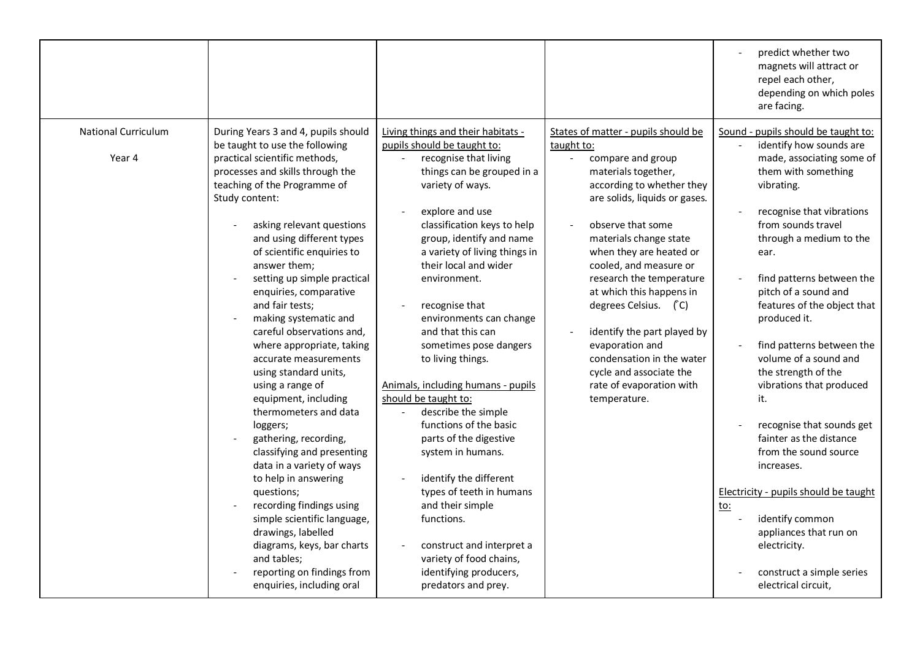|                                      |                                                                                                                                                                                                                                                                                                                                                                                                                                                                                                                                                                                                                                                                                                                                                                                                                                                                                                                           |                                                                                                                                                                                                                                                                                                                                                                                                                                                                                                                                                                                                                                                                                                                                                                                      |                                                                                                                                                                                                                                                                                                                                                                                                                                                                                                       | predict whether two<br>magnets will attract or<br>repel each other,<br>depending on which poles<br>are facing.                                                                                                                                                                                                                                                                                                                                                                                                                                                                                                                                                                                                    |
|--------------------------------------|---------------------------------------------------------------------------------------------------------------------------------------------------------------------------------------------------------------------------------------------------------------------------------------------------------------------------------------------------------------------------------------------------------------------------------------------------------------------------------------------------------------------------------------------------------------------------------------------------------------------------------------------------------------------------------------------------------------------------------------------------------------------------------------------------------------------------------------------------------------------------------------------------------------------------|--------------------------------------------------------------------------------------------------------------------------------------------------------------------------------------------------------------------------------------------------------------------------------------------------------------------------------------------------------------------------------------------------------------------------------------------------------------------------------------------------------------------------------------------------------------------------------------------------------------------------------------------------------------------------------------------------------------------------------------------------------------------------------------|-------------------------------------------------------------------------------------------------------------------------------------------------------------------------------------------------------------------------------------------------------------------------------------------------------------------------------------------------------------------------------------------------------------------------------------------------------------------------------------------------------|-------------------------------------------------------------------------------------------------------------------------------------------------------------------------------------------------------------------------------------------------------------------------------------------------------------------------------------------------------------------------------------------------------------------------------------------------------------------------------------------------------------------------------------------------------------------------------------------------------------------------------------------------------------------------------------------------------------------|
| <b>National Curriculum</b><br>Year 4 | During Years 3 and 4, pupils should<br>be taught to use the following<br>practical scientific methods,<br>processes and skills through the<br>teaching of the Programme of<br>Study content:<br>asking relevant questions<br>and using different types<br>of scientific enquiries to<br>answer them;<br>setting up simple practical<br>enquiries, comparative<br>and fair tests;<br>making systematic and<br>careful observations and,<br>where appropriate, taking<br>accurate measurements<br>using standard units,<br>using a range of<br>equipment, including<br>thermometers and data<br>loggers;<br>gathering, recording,<br>classifying and presenting<br>data in a variety of ways<br>to help in answering<br>questions;<br>recording findings using<br>simple scientific language,<br>drawings, labelled<br>diagrams, keys, bar charts<br>and tables;<br>reporting on findings from<br>enquiries, including oral | Living things and their habitats -<br>pupils should be taught to:<br>recognise that living<br>things can be grouped in a<br>variety of ways.<br>explore and use<br>classification keys to help<br>group, identify and name<br>a variety of living things in<br>their local and wider<br>environment.<br>recognise that<br>environments can change<br>and that this can<br>sometimes pose dangers<br>to living things.<br>Animals, including humans - pupils<br>should be taught to:<br>describe the simple<br>functions of the basic<br>parts of the digestive<br>system in humans.<br>identify the different<br>types of teeth in humans<br>and their simple<br>functions.<br>construct and interpret a<br>variety of food chains,<br>identifying producers,<br>predators and prey. | States of matter - pupils should be<br>taught to:<br>compare and group<br>materials together,<br>according to whether they<br>are solids, liquids or gases.<br>observe that some<br>materials change state<br>when they are heated or<br>cooled, and measure or<br>research the temperature<br>at which this happens in<br>degrees Celsius. (C)<br>identify the part played by<br>evaporation and<br>condensation in the water<br>cycle and associate the<br>rate of evaporation with<br>temperature. | Sound - pupils should be taught to:<br>identify how sounds are<br>made, associating some of<br>them with something<br>vibrating.<br>recognise that vibrations<br>from sounds travel<br>through a medium to the<br>ear.<br>find patterns between the<br>pitch of a sound and<br>features of the object that<br>produced it.<br>find patterns between the<br>volume of a sound and<br>the strength of the<br>vibrations that produced<br>it.<br>recognise that sounds get<br>fainter as the distance<br>from the sound source<br>increases.<br>Electricity - pupils should be taught<br><u>to:</u><br>identify common<br>appliances that run on<br>electricity.<br>construct a simple series<br>electrical circuit, |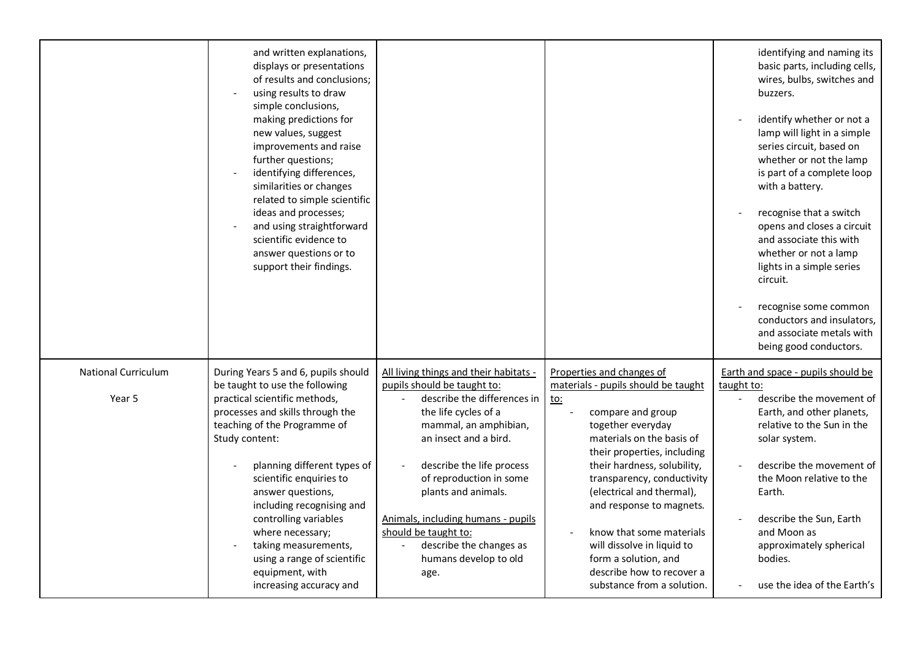|                                      | and written explanations,<br>displays or presentations<br>of results and conclusions;<br>using results to draw<br>simple conclusions,<br>making predictions for<br>new values, suggest<br>improvements and raise<br>further questions;<br>identifying differences,<br>similarities or changes<br>related to simple scientific<br>ideas and processes;<br>and using straightforward<br>scientific evidence to<br>answer questions or to<br>support their findings. |                                                                                                                                                                                                                                                                                                     |                                                                                                                                                                                                                                                                                                            | identifying and naming its<br>basic parts, including cells,<br>wires, bulbs, switches and<br>buzzers.<br>identify whether or not a<br>lamp will light in a simple<br>series circuit, based on<br>whether or not the lamp<br>is part of a complete loop<br>with a battery.<br>recognise that a switch<br>opens and closes a circuit<br>and associate this with<br>whether or not a lamp<br>lights in a simple series<br>circuit.<br>recognise some common<br>conductors and insulators,<br>and associate metals with<br>being good conductors. |
|--------------------------------------|-------------------------------------------------------------------------------------------------------------------------------------------------------------------------------------------------------------------------------------------------------------------------------------------------------------------------------------------------------------------------------------------------------------------------------------------------------------------|-----------------------------------------------------------------------------------------------------------------------------------------------------------------------------------------------------------------------------------------------------------------------------------------------------|------------------------------------------------------------------------------------------------------------------------------------------------------------------------------------------------------------------------------------------------------------------------------------------------------------|-----------------------------------------------------------------------------------------------------------------------------------------------------------------------------------------------------------------------------------------------------------------------------------------------------------------------------------------------------------------------------------------------------------------------------------------------------------------------------------------------------------------------------------------------|
|                                      |                                                                                                                                                                                                                                                                                                                                                                                                                                                                   |                                                                                                                                                                                                                                                                                                     |                                                                                                                                                                                                                                                                                                            |                                                                                                                                                                                                                                                                                                                                                                                                                                                                                                                                               |
| <b>National Curriculum</b><br>Year 5 | During Years 5 and 6, pupils should<br>be taught to use the following<br>practical scientific methods,<br>processes and skills through the<br>teaching of the Programme of<br>Study content:<br>planning different types of<br>scientific enquiries to<br>answer questions,<br>including recognising and<br>controlling variables                                                                                                                                 | All living things and their habitats -<br>pupils should be taught to:<br>describe the differences in<br>the life cycles of a<br>mammal, an amphibian,<br>an insect and a bird.<br>describe the life process<br>of reproduction in some<br>plants and animals.<br>Animals, including humans - pupils | Properties and changes of<br>materials - pupils should be taught<br><u>to:</u><br>compare and group<br>together everyday<br>materials on the basis of<br>their properties, including<br>their hardness, solubility,<br>transparency, conductivity<br>(electrical and thermal),<br>and response to magnets. | Earth and space - pupils should be<br>taught to:<br>describe the movement of<br>Earth, and other planets,<br>relative to the Sun in the<br>solar system.<br>describe the movement of<br>the Moon relative to the<br>Earth.<br>describe the Sun, Earth                                                                                                                                                                                                                                                                                         |
|                                      | where necessary;<br>taking measurements,<br>using a range of scientific<br>equipment, with<br>increasing accuracy and                                                                                                                                                                                                                                                                                                                                             | should be taught to:<br>describe the changes as<br>humans develop to old<br>age.                                                                                                                                                                                                                    | know that some materials<br>will dissolve in liquid to<br>form a solution, and<br>describe how to recover a<br>substance from a solution.                                                                                                                                                                  | and Moon as<br>approximately spherical<br>bodies.<br>use the idea of the Earth's                                                                                                                                                                                                                                                                                                                                                                                                                                                              |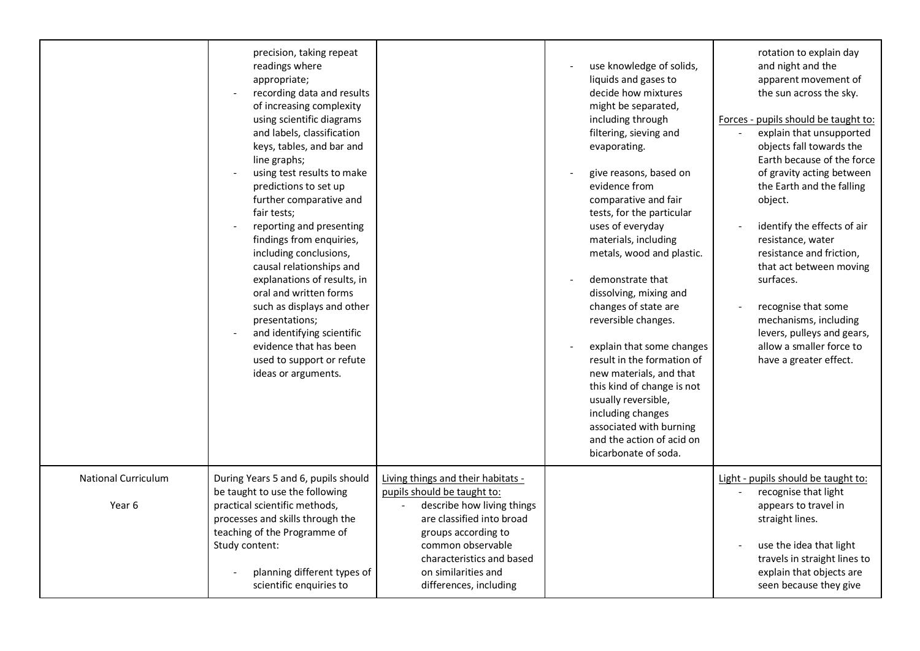|                                      | precision, taking repeat<br>readings where<br>appropriate;<br>recording data and results<br>of increasing complexity<br>using scientific diagrams<br>and labels, classification<br>keys, tables, and bar and<br>line graphs;<br>using test results to make<br>predictions to set up<br>further comparative and<br>fair tests;<br>reporting and presenting<br>findings from enquiries,<br>including conclusions,<br>causal relationships and<br>explanations of results, in<br>oral and written forms<br>such as displays and other<br>presentations;<br>and identifying scientific<br>evidence that has been<br>used to support or refute<br>ideas or arguments. |                                                                                                                                                                                                                                                        | use knowledge of solids,<br>liquids and gases to<br>decide how mixtures<br>might be separated,<br>including through<br>filtering, sieving and<br>evaporating.<br>give reasons, based on<br>evidence from<br>comparative and fair<br>tests, for the particular<br>uses of everyday<br>materials, including<br>metals, wood and plastic.<br>demonstrate that<br>dissolving, mixing and<br>changes of state are<br>reversible changes.<br>explain that some changes<br>result in the formation of<br>new materials, and that<br>this kind of change is not<br>usually reversible,<br>including changes<br>associated with burning<br>and the action of acid on<br>bicarbonate of soda. | rotation to explain day<br>and night and the<br>apparent movement of<br>the sun across the sky.<br>Forces - pupils should be taught to:<br>explain that unsupported<br>objects fall towards the<br>Earth because of the force<br>of gravity acting between<br>the Earth and the falling<br>object.<br>identify the effects of air<br>$\sim$<br>resistance, water<br>resistance and friction,<br>that act between moving<br>surfaces.<br>recognise that some<br>mechanisms, including<br>levers, pulleys and gears,<br>allow a smaller force to<br>have a greater effect. |
|--------------------------------------|------------------------------------------------------------------------------------------------------------------------------------------------------------------------------------------------------------------------------------------------------------------------------------------------------------------------------------------------------------------------------------------------------------------------------------------------------------------------------------------------------------------------------------------------------------------------------------------------------------------------------------------------------------------|--------------------------------------------------------------------------------------------------------------------------------------------------------------------------------------------------------------------------------------------------------|-------------------------------------------------------------------------------------------------------------------------------------------------------------------------------------------------------------------------------------------------------------------------------------------------------------------------------------------------------------------------------------------------------------------------------------------------------------------------------------------------------------------------------------------------------------------------------------------------------------------------------------------------------------------------------------|--------------------------------------------------------------------------------------------------------------------------------------------------------------------------------------------------------------------------------------------------------------------------------------------------------------------------------------------------------------------------------------------------------------------------------------------------------------------------------------------------------------------------------------------------------------------------|
| <b>National Curriculum</b><br>Year 6 | During Years 5 and 6, pupils should<br>be taught to use the following<br>practical scientific methods,<br>processes and skills through the<br>teaching of the Programme of<br>Study content:<br>planning different types of<br>scientific enquiries to                                                                                                                                                                                                                                                                                                                                                                                                           | Living things and their habitats -<br>pupils should be taught to:<br>describe how living things<br>are classified into broad<br>groups according to<br>common observable<br>characteristics and based<br>on similarities and<br>differences, including |                                                                                                                                                                                                                                                                                                                                                                                                                                                                                                                                                                                                                                                                                     | Light - pupils should be taught to:<br>recognise that light<br>$\blacksquare$<br>appears to travel in<br>straight lines.<br>use the idea that light<br>travels in straight lines to<br>explain that objects are<br>seen because they give                                                                                                                                                                                                                                                                                                                                |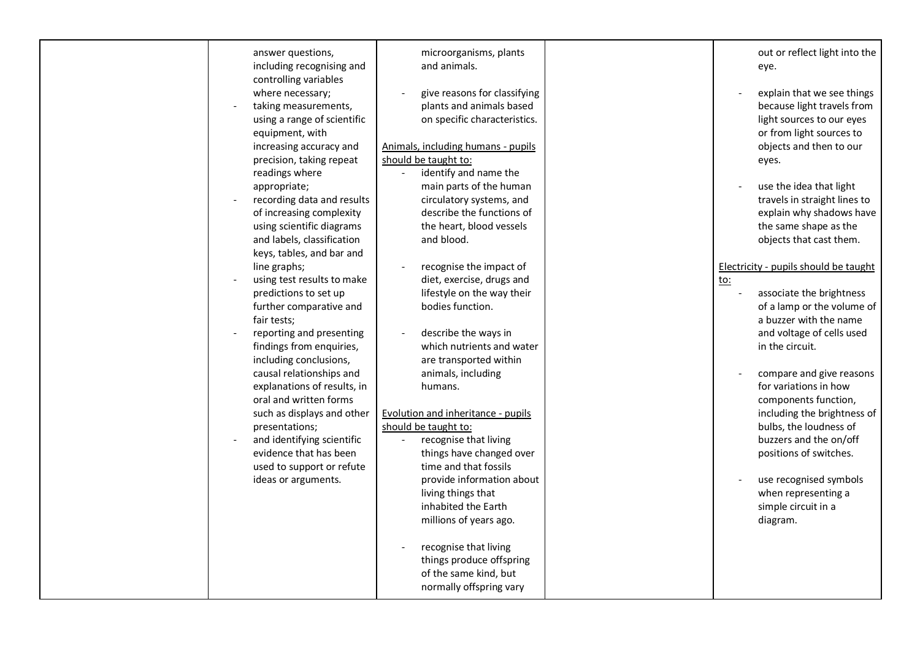| answer questions,<br>including recognising and<br>controlling variables                                                                                     | microorganisms, plants<br>and animals.                                                                                                   | out or reflect light into the<br>eye.                                                                                                   |
|-------------------------------------------------------------------------------------------------------------------------------------------------------------|------------------------------------------------------------------------------------------------------------------------------------------|-----------------------------------------------------------------------------------------------------------------------------------------|
| where necessary;<br>taking measurements,<br>using a range of scientific                                                                                     | give reasons for classifying<br>plants and animals based<br>on specific characteristics.                                                 | explain that we see things<br>because light travels from<br>light sources to our eyes                                                   |
| equipment, with<br>increasing accuracy and<br>precision, taking repeat<br>readings where                                                                    | Animals, including humans - pupils<br>should be taught to:<br>identify and name the                                                      | or from light sources to<br>objects and then to our<br>eyes.                                                                            |
| appropriate;<br>recording data and results<br>of increasing complexity<br>using scientific diagrams<br>and labels, classification                           | main parts of the human<br>circulatory systems, and<br>describe the functions of<br>the heart, blood vessels<br>and blood.               | use the idea that light<br>travels in straight lines to<br>explain why shadows have<br>the same shape as the<br>objects that cast them. |
| keys, tables, and bar and<br>line graphs;<br>using test results to make<br>predictions to set up<br>further comparative and<br>fair tests;                  | recognise the impact of<br>diet, exercise, drugs and<br>lifestyle on the way their<br>bodies function.                                   | Electricity - pupils should be taught<br>to:<br>associate the brightness<br>of a lamp or the volume of<br>a buzzer with the name        |
| reporting and presenting<br>findings from enquiries,<br>including conclusions,<br>causal relationships and<br>explanations of results, in                   | describe the ways in<br>which nutrients and water<br>are transported within<br>animals, including<br>humans.                             | and voltage of cells used<br>in the circuit.<br>compare and give reasons<br>for variations in how                                       |
| oral and written forms<br>such as displays and other<br>presentations;<br>and identifying scientific<br>evidence that has been<br>used to support or refute | Evolution and inheritance - pupils<br>should be taught to:<br>recognise that living<br>things have changed over<br>time and that fossils | components function,<br>including the brightness of<br>bulbs, the loudness of<br>buzzers and the on/off<br>positions of switches.       |
| ideas or arguments.                                                                                                                                         | provide information about<br>living things that<br>inhabited the Earth<br>millions of years ago.                                         | use recognised symbols<br>when representing a<br>simple circuit in a<br>diagram.                                                        |
|                                                                                                                                                             | recognise that living<br>things produce offspring<br>of the same kind, but<br>normally offspring vary                                    |                                                                                                                                         |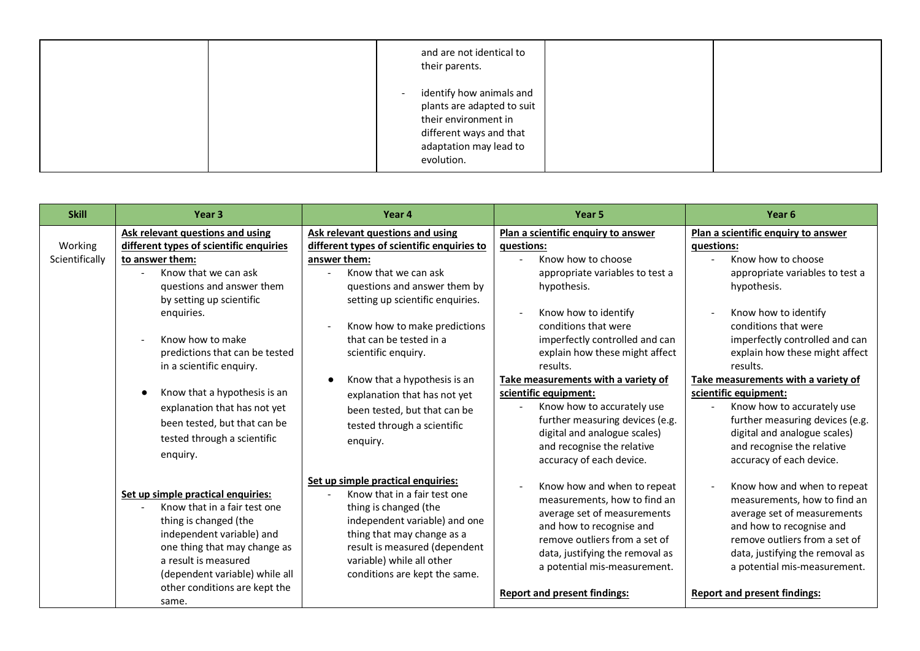| and are not identical to<br>their parents.                                                                                                                  |  |
|-------------------------------------------------------------------------------------------------------------------------------------------------------------|--|
| identify how animals and<br>$\sim$<br>plants are adapted to suit<br>their environment in<br>different ways and that<br>adaptation may lead to<br>evolution. |  |

| <b>Skill</b>              | Year <sub>3</sub>                                                                                                                                                                                                                                                               | Year 4                                                                                                                                                                                                                                                                       | Year 5                                                                                                                                                                                                                                                            | Year <sub>6</sub>                                                                                                                                                                                                                                                 |
|---------------------------|---------------------------------------------------------------------------------------------------------------------------------------------------------------------------------------------------------------------------------------------------------------------------------|------------------------------------------------------------------------------------------------------------------------------------------------------------------------------------------------------------------------------------------------------------------------------|-------------------------------------------------------------------------------------------------------------------------------------------------------------------------------------------------------------------------------------------------------------------|-------------------------------------------------------------------------------------------------------------------------------------------------------------------------------------------------------------------------------------------------------------------|
| Working<br>Scientifically | Ask relevant questions and using<br>different types of scientific enquiries<br>to answer them:<br>Know that we can ask<br>questions and answer them<br>by setting up scientific<br>enquiries.<br>Know how to make<br>predictions that can be tested<br>in a scientific enquiry. | Ask relevant questions and using<br>different types of scientific enquiries to<br>answer them:<br>Know that we can ask<br>questions and answer them by<br>setting up scientific enquiries.<br>Know how to make predictions<br>that can be tested in a<br>scientific enquiry. | Plan a scientific enquiry to answer<br>questions:<br>Know how to choose<br>appropriate variables to test a<br>hypothesis.<br>Know how to identify<br>conditions that were<br>imperfectly controlled and can<br>explain how these might affect<br>results.         | Plan a scientific enquiry to answer<br>questions:<br>Know how to choose<br>appropriate variables to test a<br>hypothesis.<br>Know how to identify<br>conditions that were<br>imperfectly controlled and can<br>explain how these might affect<br>results.         |
|                           | Know that a hypothesis is an<br>explanation that has not yet<br>been tested, but that can be<br>tested through a scientific<br>enquiry.                                                                                                                                         | Know that a hypothesis is an<br>explanation that has not yet<br>been tested, but that can be<br>tested through a scientific<br>enquiry.                                                                                                                                      | Take measurements with a variety of<br>scientific equipment:<br>Know how to accurately use<br>further measuring devices (e.g.<br>digital and analogue scales)<br>and recognise the relative<br>accuracy of each device.                                           | Take measurements with a variety of<br>scientific equipment:<br>Know how to accurately use<br>further measuring devices (e.g.<br>digital and analogue scales)<br>and recognise the relative<br>accuracy of each device.                                           |
|                           | Set up simple practical enquiries:<br>Know that in a fair test one<br>thing is changed (the<br>independent variable) and<br>one thing that may change as<br>a result is measured<br>(dependent variable) while all<br>other conditions are kept the<br>same.                    | Set up simple practical enquiries:<br>Know that in a fair test one<br>thing is changed (the<br>independent variable) and one<br>thing that may change as a<br>result is measured (dependent<br>variable) while all other<br>conditions are kept the same.                    | Know how and when to repeat<br>measurements, how to find an<br>average set of measurements<br>and how to recognise and<br>remove outliers from a set of<br>data, justifying the removal as<br>a potential mis-measurement.<br><b>Report and present findings:</b> | Know how and when to repeat<br>measurements, how to find an<br>average set of measurements<br>and how to recognise and<br>remove outliers from a set of<br>data, justifying the removal as<br>a potential mis-measurement.<br><b>Report and present findings:</b> |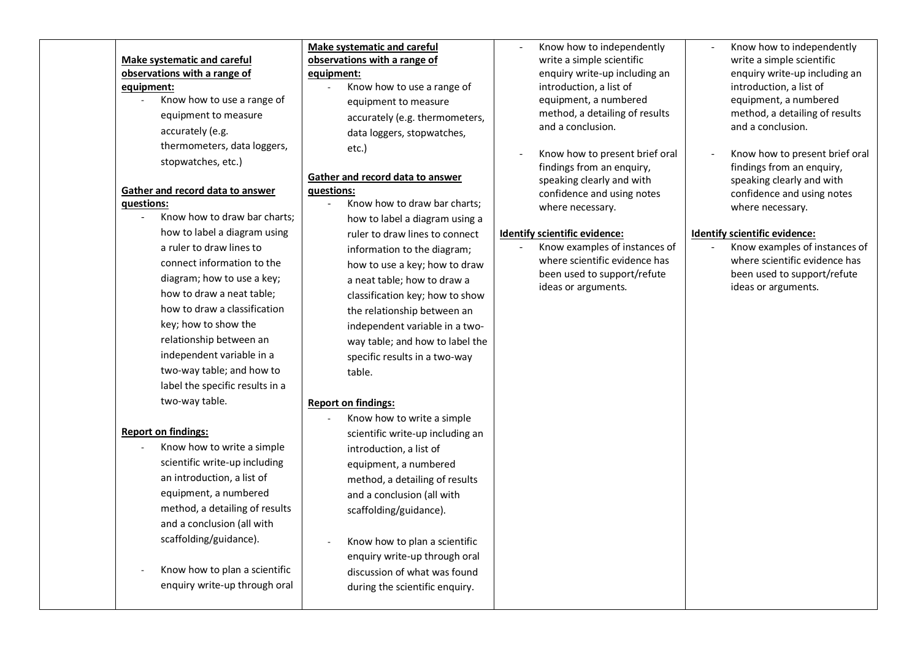# **Make systematic and careful observations with a range of equipment:**

- Know how to use a range of equipment to measure accurately (e.g. thermometers, data loggers, stopwatches, etc.)

#### **Gather and record data to answer questions:**

Know how to draw bar charts: how to label a diagram using a ruler to draw lines to connect information to the diagram; how to use a key; how to draw a neat table; how to draw a classification key; how to show the relationship between an independent variable in a two-way table; and how to label the specific results in a two-way table.

## **Report on findings:**

- Know how to write a simple scientific write-up including an introduction, a list of equipment, a numbered method, a detailing of results and a conclusion (all with scaffolding/guidance).
- Know how to plan a scientific enquiry write-up through oral

#### **Make systematic and careful observations with a range of equipment:**

Know how to use a range of equipment to measure accurately (e.g. thermometers, data loggers, stopwatches, etc.)

#### **Gather and record data to answer questions:**

- Know how to draw bar charts; how to label a diagram using a ruler to draw lines to connect information to the diagram; how to use a key; how to draw a neat table; how to draw a classification key; how to show the relationship between an independent variable in a twoway table; and how to label the specific results in a two-way table.

#### **Report on findings:**

- Know how to write a simple scientific write-up including an introduction, a list of equipment, a numbered method, a detailing of results and a conclusion (all with scaffolding/guidance).
- Know how to plan a scientific enquiry write-up through oral discussion of what was found during the scientific enquiry.
- Know how to independently write a simple scientific enquiry write-up including an introduction, a list of equipment, a numbered method, a detailing of results and a conclusion.
- Know how to present brief oral findings from an enquiry, speaking clearly and with confidence and using notes where necessary.

# **Identify scientific evidence:**

- Know examples of instances of where scientific evidence has been used to support/refute ideas or arguments.

- Know how to independently write a simple scientific enquiry write-up including an introduction, a list of equipment, a numbered method, a detailing of results and a conclusion.
- Know how to present brief oral findings from an enquiry, speaking clearly and with confidence and using notes where necessary.

# **Identify scientific evidence:**

- Know examples of instances of where scientific evidence has been used to support/refute ideas or arguments.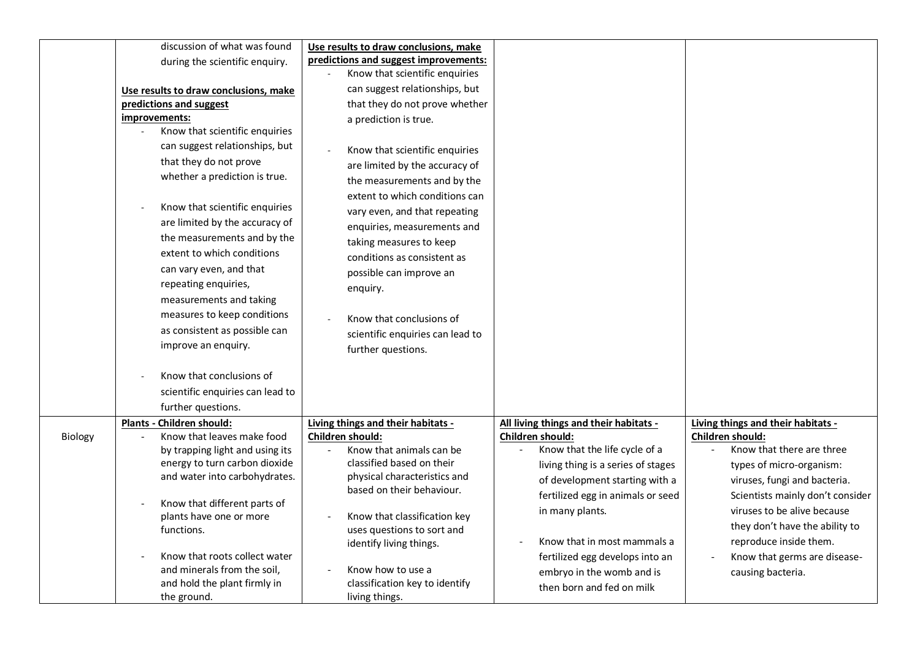|         | discussion of what was found                            | Use results to draw conclusions, make                      |                                        |                                    |
|---------|---------------------------------------------------------|------------------------------------------------------------|----------------------------------------|------------------------------------|
|         | during the scientific enquiry.                          | predictions and suggest improvements:                      |                                        |                                    |
|         |                                                         | Know that scientific enquiries                             |                                        |                                    |
|         | Use results to draw conclusions, make                   | can suggest relationships, but                             |                                        |                                    |
|         | predictions and suggest                                 | that they do not prove whether                             |                                        |                                    |
|         | improvements:                                           | a prediction is true.                                      |                                        |                                    |
|         | Know that scientific enquiries                          |                                                            |                                        |                                    |
|         | can suggest relationships, but                          | Know that scientific enquiries                             |                                        |                                    |
|         | that they do not prove                                  | are limited by the accuracy of                             |                                        |                                    |
|         | whether a prediction is true.                           | the measurements and by the                                |                                        |                                    |
|         |                                                         | extent to which conditions can                             |                                        |                                    |
|         | Know that scientific enquiries                          | vary even, and that repeating                              |                                        |                                    |
|         | are limited by the accuracy of                          | enquiries, measurements and                                |                                        |                                    |
|         | the measurements and by the                             | taking measures to keep                                    |                                        |                                    |
|         | extent to which conditions                              | conditions as consistent as                                |                                        |                                    |
|         | can vary even, and that                                 | possible can improve an                                    |                                        |                                    |
|         | repeating enquiries,                                    | enquiry.                                                   |                                        |                                    |
|         | measurements and taking                                 |                                                            |                                        |                                    |
|         | measures to keep conditions                             | Know that conclusions of                                   |                                        |                                    |
|         | as consistent as possible can                           | scientific enquiries can lead to                           |                                        |                                    |
|         | improve an enquiry.                                     | further questions.                                         |                                        |                                    |
|         |                                                         |                                                            |                                        |                                    |
|         | Know that conclusions of                                |                                                            |                                        |                                    |
|         | scientific enquiries can lead to                        |                                                            |                                        |                                    |
|         | further questions.                                      |                                                            |                                        |                                    |
|         | Plants - Children should:                               | Living things and their habitats -                         | All living things and their habitats - | Living things and their habitats - |
| Biology | Know that leaves make food                              | Children should:                                           | Children should:                       | Children should:                   |
|         | by trapping light and using its                         | Know that animals can be                                   | Know that the life cycle of a          | Know that there are three          |
|         | energy to turn carbon dioxide                           | classified based on their                                  | living thing is a series of stages     | types of micro-organism:           |
|         | and water into carbohydrates.                           | physical characteristics and                               | of development starting with a         | viruses, fungi and bacteria.       |
|         |                                                         | based on their behaviour.                                  | fertilized egg in animals or seed      | Scientists mainly don't consider   |
|         | Know that different parts of<br>plants have one or more |                                                            | in many plants.                        | viruses to be alive because        |
|         | functions.                                              | Know that classification key<br>uses questions to sort and |                                        | they don't have the ability to     |
|         |                                                         | identify living things.                                    | Know that in most mammals a            | reproduce inside them.             |
|         | Know that roots collect water                           |                                                            | fertilized egg develops into an        | Know that germs are disease-       |
|         | and minerals from the soil,                             | Know how to use a                                          | embryo in the womb and is              | causing bacteria.                  |
|         | and hold the plant firmly in                            | classification key to identify                             | then born and fed on milk              |                                    |
|         | the ground.                                             | living things.                                             |                                        |                                    |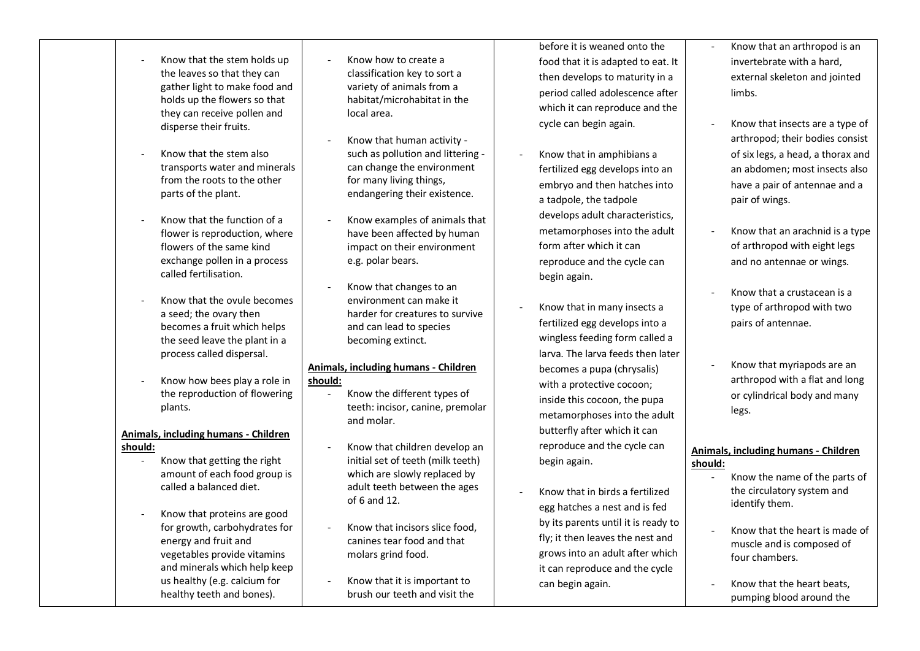- Know that the stem holds up the leaves so that they can gather light to make food and holds up the flowers so that they can receive pollen and disperse their fruits. - Know that the stem also transports water and minerals from the roots to the other parts of the plant. - Know that the function of a flower is reproduction, where flowers of the same kind exchange pollen in a process called fertilisation. - Know how to create a classification key to sort a variety of animals from a habitat/microhabitat in the local area. - Know that human activity such as pollution and littering can change the environment for many living things, endangering their existence. - Know examples of animals that have been affected by human impact on their environment e.g. polar bears. - Know that changes to an before it is weaned onto the food that it is adapted to eat. It then develops to maturity in a period called adolescence after which it can reproduce and the cycle can begin again. - Know that in amphibians a fertilized egg develops into an embryo and then hatches into a tadpole, the tadpole develops adult characteristics, metamorphoses into the adult form after which it can reproduce and the cycle can begin again.
	- Know that in many insects a fertilized egg develops into a wingless feeding form called a larva. The larva feeds then later becomes a pupa (chrysalis) with a protective cocoon; inside this cocoon, the pupa metamorphoses into the adult butterfly after which it can reproduce and the cycle can begin again.
		- Know that in birds a fertilized egg hatches a nest and is fed by its parents until it is ready to fly; it then leaves the nest and grows into an adult after which it can reproduce and the cycle can begin again.
- Know that an arthropod is an invertebrate with a hard, external skeleton and jointed limbs.
- Know that insects are a type of arthropod; their bodies consist of six legs, a head, a thorax and an abdomen; most insects also have a pair of antennae and a pair of wings.
- Know that an arachnid is a type of arthropod with eight legs and no antennae or wings.
- Know that a crustacean is a type of arthropod with two pairs of antennae.
- Know that myriapods are an arthropod with a flat and long or cylindrical body and many legs.

#### **Animals, including humans - Children should:**

- Know the name of the parts of the circulatory system and identify them.
- Know that the heart is made of muscle and is composed of four chambers.
- Know that the heart beats, pumping blood around the
- Know that the ovule becomes a seed; the ovary then becomes a fruit which helps the seed leave the plant in a process called dispersal.
- Know how bees play a role in the reproduction of flowering plants.

## **Animals, including humans - Children should:**

- Know that getting the right amount of each food group is called a balanced diet.
- Know that proteins are good for growth, carbohydrates for energy and fruit and vegetables provide vitamins and minerals which help keep us healthy (e.g. calcium for healthy teeth and bones).

environment can make it harder for creatures to survive and can lead to species becoming extinct.

#### **Animals, including humans - Children should:**

- Know the different types of teeth: incisor, canine, premolar and molar.
- Know that children develop an initial set of teeth (milk teeth) which are slowly replaced by adult teeth between the ages of 6 and 12.
- Know that incisors slice food canines tear food and that molars grind food.
- Know that it is important to brush our teeth and visit the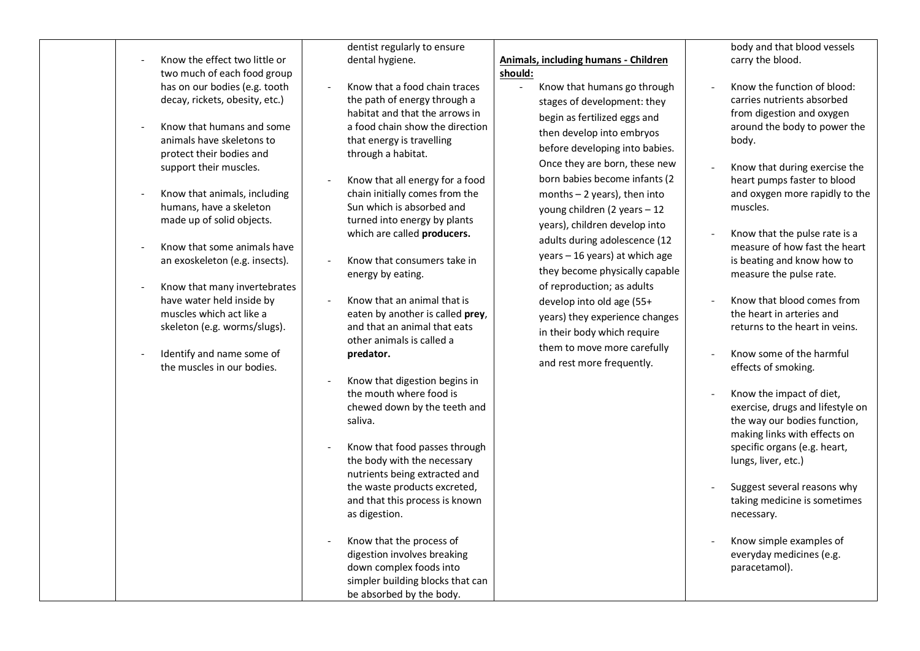- Know the effect two little or two much of each food group has on our bodies (e.g. tooth decay, rickets, obesity, etc.)
- Know that humans and some animals have skeletons to protect their bodies and support their muscles.
- Know that animals, including humans, have a skeleton made up of solid objects.
- Know that some animals have an exoskeleton (e.g. insects).
- Know that many invertebrates have water held inside by muscles which act like a skeleton (e.g. worms/slugs).
- Identify and name some of the muscles in our bodies.

dentist regularly to ensure dental hygiene.

- Know that a food chain traces the path of energy through a habitat and that the arrows in a food chain show the direction that energy is travelling through a habitat.
- Know that all energy for a food chain initially comes from the Sun which is absorbed and turned into energy by plants which are called **producers.**
- Know that consumers take in energy by eating.
- Know that an animal that is eaten by another is called **prey**, and that an animal that eats other animals is called a **predator.**
- Know that digestion begins in the mouth where food is chewed down by the teeth and saliva.
- Know that food passes through the body with the necessary nutrients being extracted and the waste products excreted, and that this process is known as digestion.
- Know that the process of digestion involves breaking down complex foods into simpler building blocks that can be absorbed by the body.

**Animals, including humans - Children should:** 

> - Know that humans go through stages of development: they begin as fertilized eggs and then develop into embryos before developing into babies. Once they are born, these new born babies become infants (2 months – 2 years), then into young children (2 years – 12 years), children develop into adults during adolescence (12 years – 16 years) at which age they become physically capable of reproduction; as adults develop into old age (55+ years) they experience changes in their body which require them to move more carefully and rest more frequently.

body and that blood vessels carry the blood.

- Know the function of blood: carries nutrients absorbed from digestion and oxygen around the body to power the body.
- Know that during exercise the heart pumps faster to blood and oxygen more rapidly to the muscles.
- Know that the pulse rate is a measure of how fast the heart is beating and know how to measure the pulse rate.
- Know that blood comes from the heart in arteries and returns to the heart in veins.
- Know some of the harmful effects of smoking.
- Know the impact of diet, exercise, drugs and lifestyle on the way our bodies function, making links with effects on specific organs (e.g. heart, lungs, liver, etc.)
- Suggest several reasons why taking medicine is sometimes necessary.
- Know simple examples of everyday medicines (e.g. paracetamol).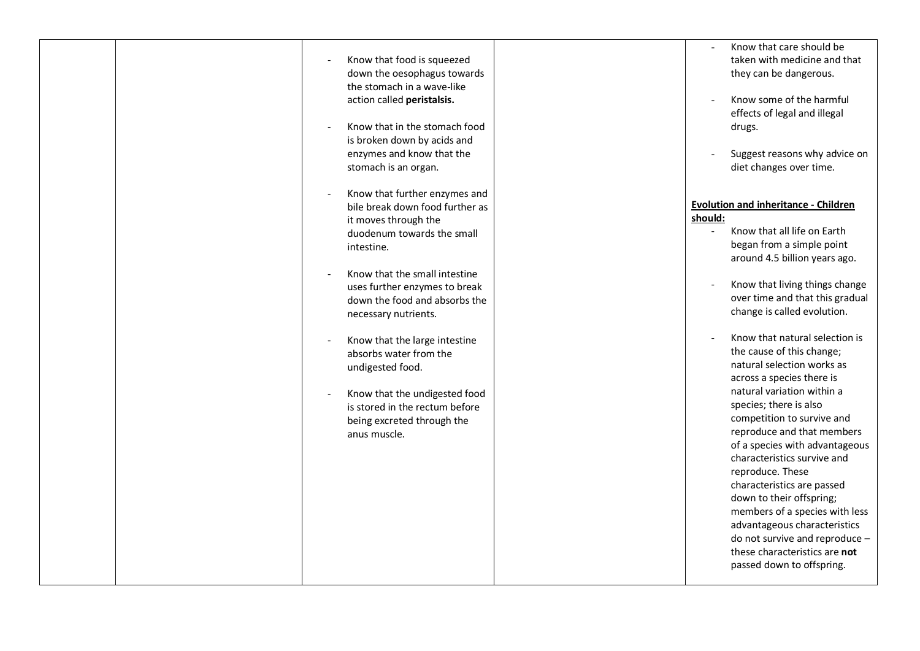|  |                                                                | Know that care should be                                      |
|--|----------------------------------------------------------------|---------------------------------------------------------------|
|  | Know that food is squeezed                                     | taken with medicine and that                                  |
|  | down the oesophagus towards                                    | they can be dangerous.                                        |
|  | the stomach in a wave-like                                     |                                                               |
|  | action called peristalsis.                                     | Know some of the harmful                                      |
|  |                                                                | effects of legal and illegal                                  |
|  | Know that in the stomach food                                  | drugs.                                                        |
|  | is broken down by acids and<br>enzymes and know that the       | Suggest reasons why advice on                                 |
|  | stomach is an organ.                                           | diet changes over time.                                       |
|  |                                                                |                                                               |
|  | Know that further enzymes and                                  |                                                               |
|  | bile break down food further as                                | <b>Evolution and inheritance - Children</b>                   |
|  | it moves through the                                           | should:                                                       |
|  | duodenum towards the small                                     | Know that all life on Earth                                   |
|  | intestine.                                                     | began from a simple point                                     |
|  |                                                                | around 4.5 billion years ago.                                 |
|  | Know that the small intestine                                  | Know that living things change                                |
|  | uses further enzymes to break<br>down the food and absorbs the | over time and that this gradual                               |
|  | necessary nutrients.                                           | change is called evolution.                                   |
|  |                                                                |                                                               |
|  | Know that the large intestine                                  | Know that natural selection is                                |
|  | absorbs water from the                                         | the cause of this change;                                     |
|  | undigested food.                                               | natural selection works as                                    |
|  |                                                                | across a species there is                                     |
|  | Know that the undigested food                                  | natural variation within a                                    |
|  | is stored in the rectum before                                 | species; there is also                                        |
|  | being excreted through the                                     | competition to survive and                                    |
|  | anus muscle.                                                   | reproduce and that members                                    |
|  |                                                                | of a species with advantageous<br>characteristics survive and |
|  |                                                                | reproduce. These                                              |
|  |                                                                | characteristics are passed                                    |
|  |                                                                | down to their offspring;                                      |
|  |                                                                | members of a species with less                                |
|  |                                                                | advantageous characteristics                                  |
|  |                                                                | do not survive and reproduce -                                |
|  |                                                                | these characteristics are not                                 |
|  |                                                                | passed down to offspring.                                     |
|  |                                                                |                                                               |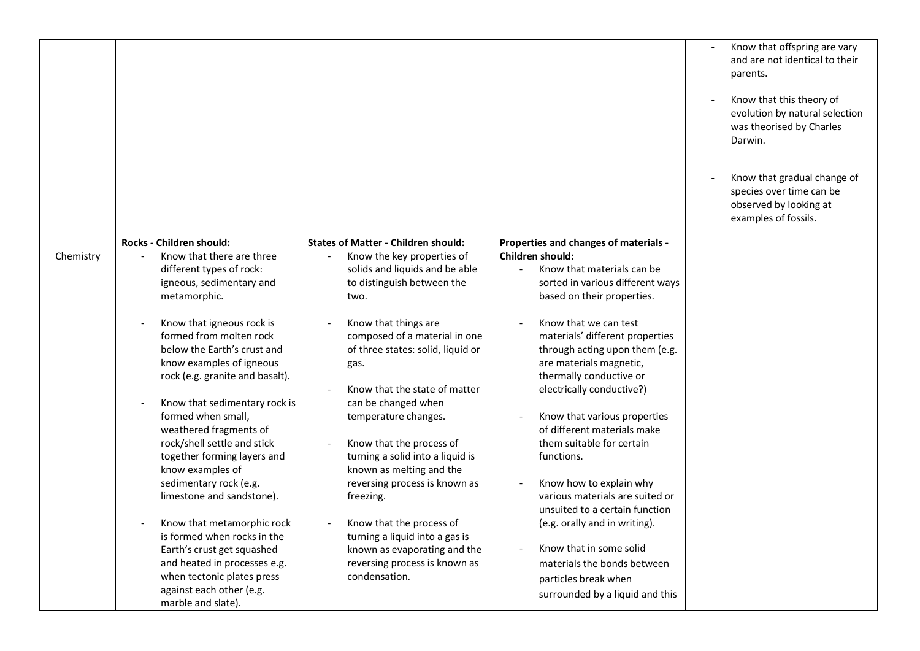|           |                                                                                                                                                                                                                                                                                                                                                                                                                                                                                                                                                                                                                                                                                                                          |                                                                                                                                                                                                                                                                                                                                                                                                                                                                                                                                                                                                                                  |                                                                                                                                                                                                                                                                                                                                                                                                                                                                                                                                                                                                                                                                                                            | Know that offspring are vary<br>and are not identical to their<br>parents.<br>Know that this theory of<br>evolution by natural selection<br>was theorised by Charles<br>Darwin.<br>Know that gradual change of<br>species over time can be<br>observed by looking at<br>examples of fossils. |
|-----------|--------------------------------------------------------------------------------------------------------------------------------------------------------------------------------------------------------------------------------------------------------------------------------------------------------------------------------------------------------------------------------------------------------------------------------------------------------------------------------------------------------------------------------------------------------------------------------------------------------------------------------------------------------------------------------------------------------------------------|----------------------------------------------------------------------------------------------------------------------------------------------------------------------------------------------------------------------------------------------------------------------------------------------------------------------------------------------------------------------------------------------------------------------------------------------------------------------------------------------------------------------------------------------------------------------------------------------------------------------------------|------------------------------------------------------------------------------------------------------------------------------------------------------------------------------------------------------------------------------------------------------------------------------------------------------------------------------------------------------------------------------------------------------------------------------------------------------------------------------------------------------------------------------------------------------------------------------------------------------------------------------------------------------------------------------------------------------------|----------------------------------------------------------------------------------------------------------------------------------------------------------------------------------------------------------------------------------------------------------------------------------------------|
| Chemistry | Rocks - Children should:<br>Know that there are three<br>different types of rock:<br>igneous, sedimentary and<br>metamorphic.<br>Know that igneous rock is<br>formed from molten rock<br>below the Earth's crust and<br>know examples of igneous<br>rock (e.g. granite and basalt).<br>Know that sedimentary rock is<br>formed when small,<br>weathered fragments of<br>rock/shell settle and stick<br>together forming layers and<br>know examples of<br>sedimentary rock (e.g.<br>limestone and sandstone).<br>Know that metamorphic rock<br>is formed when rocks in the<br>Earth's crust get squashed<br>and heated in processes e.g.<br>when tectonic plates press<br>against each other (e.g.<br>marble and slate). | <b>States of Matter - Children should:</b><br>Know the key properties of<br>solids and liquids and be able<br>to distinguish between the<br>two.<br>Know that things are<br>composed of a material in one<br>of three states: solid, liquid or<br>gas.<br>Know that the state of matter<br>can be changed when<br>temperature changes.<br>Know that the process of<br>turning a solid into a liquid is<br>known as melting and the<br>reversing process is known as<br>freezing.<br>Know that the process of<br>turning a liquid into a gas is<br>known as evaporating and the<br>reversing process is known as<br>condensation. | Properties and changes of materials -<br>Children should:<br>Know that materials can be<br>sorted in various different ways<br>based on their properties.<br>Know that we can test<br>materials' different properties<br>through acting upon them (e.g.<br>are materials magnetic,<br>thermally conductive or<br>electrically conductive?)<br>Know that various properties<br>of different materials make<br>them suitable for certain<br>functions.<br>Know how to explain why<br>various materials are suited or<br>unsuited to a certain function<br>(e.g. orally and in writing).<br>Know that in some solid<br>materials the bonds between<br>particles break when<br>surrounded by a liquid and this |                                                                                                                                                                                                                                                                                              |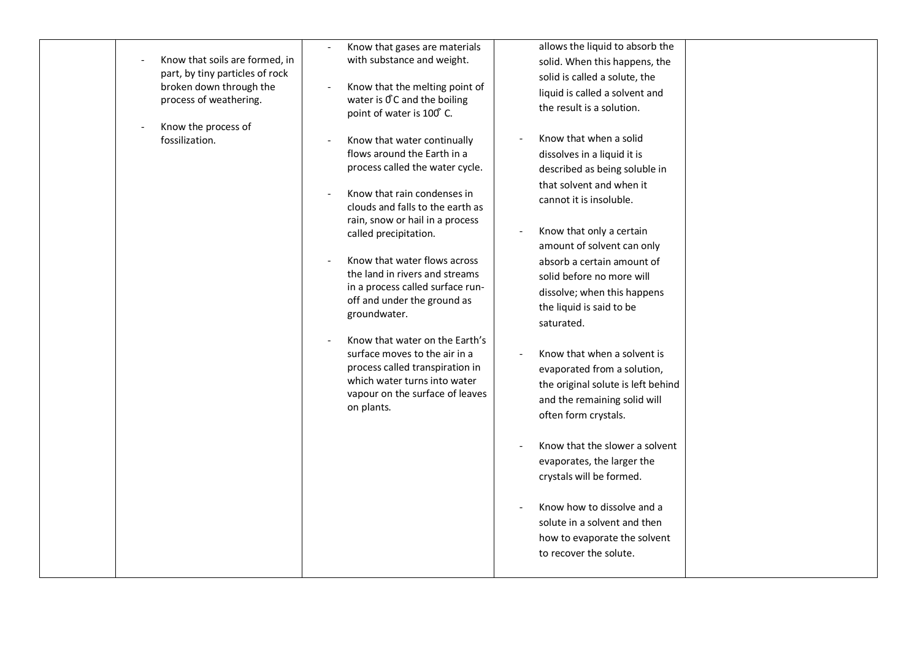| part, by tiny particles of rock<br>broken down through the<br>process of weathering.<br>Know the process of<br>fossilization. | Know that the melting point of<br>water is OC and the boiling<br>point of water is 100°C.<br>Know that water continually<br>flows around the Earth in a<br>process called the water cycle.<br>Know that rain condenses in<br>clouds and falls to the earth as<br>rain, snow or hail in a process<br>called precipitation.<br>Know that water flows across<br>the land in rivers and streams | solid is called a solute, the<br>liquid is called a solvent and<br>the result is a solution.<br>Know that when a solid<br>dissolves in a liquid it is<br>described as being soluble in<br>that solvent and when it<br>cannot it is insoluble.<br>Know that only a certain<br>amount of solvent can only<br>absorb a certain amount of<br>solid before no more will |
|-------------------------------------------------------------------------------------------------------------------------------|---------------------------------------------------------------------------------------------------------------------------------------------------------------------------------------------------------------------------------------------------------------------------------------------------------------------------------------------------------------------------------------------|--------------------------------------------------------------------------------------------------------------------------------------------------------------------------------------------------------------------------------------------------------------------------------------------------------------------------------------------------------------------|
|                                                                                                                               |                                                                                                                                                                                                                                                                                                                                                                                             |                                                                                                                                                                                                                                                                                                                                                                    |
|                                                                                                                               |                                                                                                                                                                                                                                                                                                                                                                                             |                                                                                                                                                                                                                                                                                                                                                                    |
|                                                                                                                               |                                                                                                                                                                                                                                                                                                                                                                                             |                                                                                                                                                                                                                                                                                                                                                                    |
|                                                                                                                               |                                                                                                                                                                                                                                                                                                                                                                                             |                                                                                                                                                                                                                                                                                                                                                                    |
|                                                                                                                               | in a process called surface run-<br>off and under the ground as<br>groundwater.                                                                                                                                                                                                                                                                                                             | dissolve; when this happens<br>the liquid is said to be<br>saturated.                                                                                                                                                                                                                                                                                              |
|                                                                                                                               | Know that water on the Earth's<br>surface moves to the air in a<br>process called transpiration in<br>which water turns into water<br>vapour on the surface of leaves<br>on plants.                                                                                                                                                                                                         | Know that when a solvent is<br>evaporated from a solution,<br>the original solute is left behind<br>and the remaining solid will<br>often form crystals.                                                                                                                                                                                                           |
|                                                                                                                               |                                                                                                                                                                                                                                                                                                                                                                                             | Know that the slower a solvent<br>evaporates, the larger the<br>crystals will be formed.                                                                                                                                                                                                                                                                           |
|                                                                                                                               |                                                                                                                                                                                                                                                                                                                                                                                             | Know how to dissolve and a<br>solute in a solvent and then<br>how to evaporate the solvent<br>to recover the solute.                                                                                                                                                                                                                                               |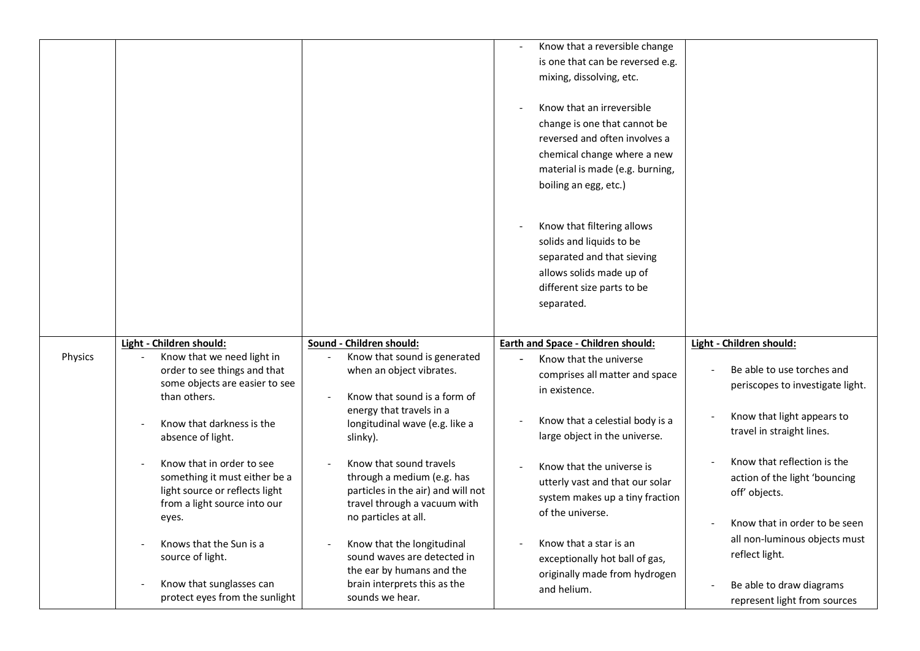|         |                                                                                                                                                                                                                                                                                                                            |                                                                                                                                                                                                                                                                                                                               | Know that a reversible change<br>is one that can be reversed e.g.<br>mixing, dissolving, etc.<br>Know that an irreversible<br>change is one that cannot be<br>reversed and often involves a<br>chemical change where a new<br>material is made (e.g. burning,<br>boiling an egg, etc.)                     |                                                                                                                                                                                                                                        |
|---------|----------------------------------------------------------------------------------------------------------------------------------------------------------------------------------------------------------------------------------------------------------------------------------------------------------------------------|-------------------------------------------------------------------------------------------------------------------------------------------------------------------------------------------------------------------------------------------------------------------------------------------------------------------------------|------------------------------------------------------------------------------------------------------------------------------------------------------------------------------------------------------------------------------------------------------------------------------------------------------------|----------------------------------------------------------------------------------------------------------------------------------------------------------------------------------------------------------------------------------------|
|         |                                                                                                                                                                                                                                                                                                                            |                                                                                                                                                                                                                                                                                                                               | Know that filtering allows<br>solids and liquids to be<br>separated and that sieving<br>allows solids made up of<br>different size parts to be<br>separated.                                                                                                                                               |                                                                                                                                                                                                                                        |
| Physics | Light - Children should:<br>Know that we need light in<br>order to see things and that<br>some objects are easier to see<br>than others.<br>Know that darkness is the<br>absence of light.<br>Know that in order to see<br>something it must either be a<br>light source or reflects light<br>from a light source into our | Sound - Children should:<br>Know that sound is generated<br>when an object vibrates.<br>Know that sound is a form of<br>energy that travels in a<br>longitudinal wave (e.g. like a<br>slinky).<br>Know that sound travels<br>through a medium (e.g. has<br>particles in the air) and will not<br>travel through a vacuum with | Earth and Space - Children should:<br>Know that the universe<br>comprises all matter and space<br>in existence.<br>Know that a celestial body is a<br>large object in the universe.<br>Know that the universe is<br>utterly vast and that our solar<br>system makes up a tiny fraction<br>of the universe. | Light - Children should:<br>Be able to use torches and<br>periscopes to investigate light.<br>Know that light appears to<br>travel in straight lines.<br>Know that reflection is the<br>action of the light 'bouncing<br>off' objects. |
|         | eyes.<br>Knows that the Sun is a<br>source of light.<br>Know that sunglasses can<br>protect eyes from the sunlight                                                                                                                                                                                                         | no particles at all.<br>Know that the longitudinal<br>sound waves are detected in<br>the ear by humans and the<br>brain interprets this as the<br>sounds we hear.                                                                                                                                                             | Know that a star is an<br>exceptionally hot ball of gas,<br>originally made from hydrogen<br>and helium.                                                                                                                                                                                                   | Know that in order to be seen<br>all non-luminous objects must<br>reflect light.<br>Be able to draw diagrams<br>represent light from sources                                                                                           |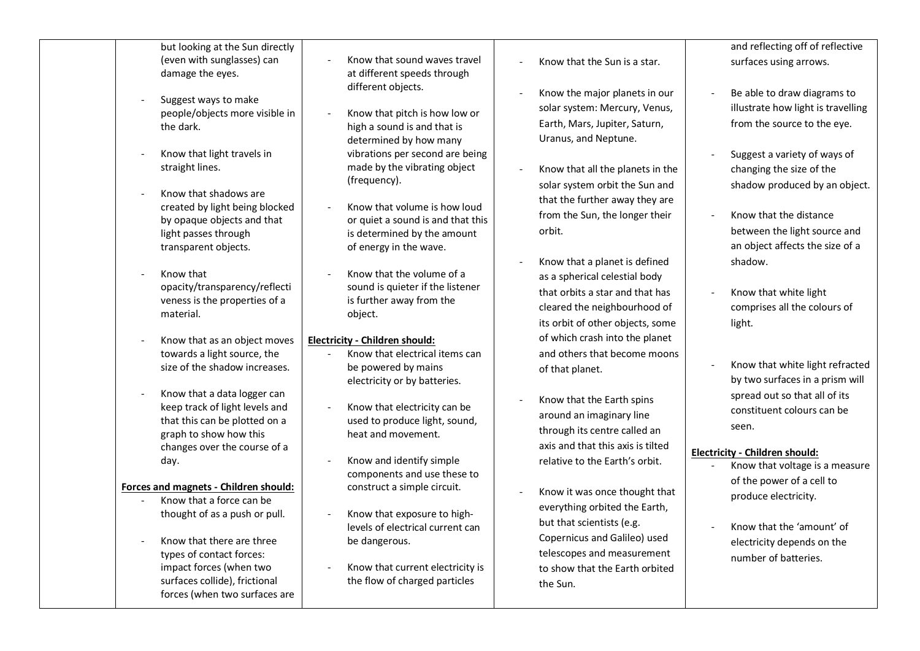| but looking at the Sun directly                         |                                                            |                                   | and reflecting off of reflective   |
|---------------------------------------------------------|------------------------------------------------------------|-----------------------------------|------------------------------------|
| (even with sunglasses) can                              | Know that sound waves travel                               | Know that the Sun is a star.      | surfaces using arrows.             |
| damage the eyes.                                        | at different speeds through                                |                                   |                                    |
|                                                         | different objects.                                         | Know the major planets in our     | Be able to draw diagrams to        |
| Suggest ways to make                                    |                                                            | solar system: Mercury, Venus,     | illustrate how light is travelling |
| people/objects more visible in                          | Know that pitch is how low or                              | Earth, Mars, Jupiter, Saturn,     | from the source to the eye.        |
| the dark.                                               | high a sound is and that is                                |                                   |                                    |
|                                                         | determined by how many                                     | Uranus, and Neptune.              |                                    |
| Know that light travels in                              | vibrations per second are being                            |                                   | Suggest a variety of ways of       |
| straight lines.                                         | made by the vibrating object                               | Know that all the planets in the  | changing the size of the           |
|                                                         | (frequency).                                               | solar system orbit the Sun and    | shadow produced by an object.      |
| Know that shadows are<br>created by light being blocked | Know that volume is how loud                               | that the further away they are    |                                    |
| by opaque objects and that                              | or quiet a sound is and that this                          | from the Sun, the longer their    | Know that the distance             |
| light passes through                                    | is determined by the amount                                | orbit.                            | between the light source and       |
| transparent objects.                                    | of energy in the wave.                                     |                                   | an object affects the size of a    |
|                                                         |                                                            | Know that a planet is defined     | shadow.                            |
| Know that                                               | Know that the volume of a                                  |                                   |                                    |
| opacity/transparency/reflecti                           | sound is quieter if the listener                           | as a spherical celestial body     |                                    |
| veness is the properties of a                           | is further away from the                                   | that orbits a star and that has   | Know that white light              |
| material.                                               | object.                                                    | cleared the neighbourhood of      | comprises all the colours of       |
|                                                         |                                                            | its orbit of other objects, some  | light.                             |
| Know that as an object moves                            | Electricity - Children should:                             | of which crash into the planet    |                                    |
| towards a light source, the                             | Know that electrical items can                             | and others that become moons      |                                    |
| size of the shadow increases.                           | be powered by mains                                        | of that planet.                   | Know that white light refracted    |
|                                                         | electricity or by batteries.                               |                                   | by two surfaces in a prism will    |
| Know that a data logger can                             |                                                            | Know that the Earth spins         | spread out so that all of its      |
| keep track of light levels and                          | Know that electricity can be                               | around an imaginary line          | constituent colours can be         |
| that this can be plotted on a                           | used to produce light, sound,                              | through its centre called an      | seen.                              |
| graph to show how this                                  | heat and movement.                                         | axis and that this axis is tilted |                                    |
| changes over the course of a                            |                                                            |                                   | Electricity - Children should:     |
| day.                                                    | Know and identify simple                                   | relative to the Earth's orbit.    | Know that voltage is a measure     |
| Forces and magnets - Children should:                   | components and use these to<br>construct a simple circuit. |                                   | of the power of a cell to          |
| Know that a force can be                                |                                                            | Know it was once thought that     | produce electricity.               |
| thought of as a push or pull.                           | Know that exposure to high-                                | everything orbited the Earth,     |                                    |
|                                                         | levels of electrical current can                           | but that scientists (e.g.         | Know that the 'amount' of          |
| Know that there are three                               | be dangerous.                                              | Copernicus and Galileo) used      | electricity depends on the         |
| types of contact forces:                                |                                                            | telescopes and measurement        | number of batteries.               |
| impact forces (when two                                 | Know that current electricity is                           | to show that the Earth orbited    |                                    |
| surfaces collide), frictional                           | the flow of charged particles                              | the Sun.                          |                                    |
| forces (when two surfaces are                           |                                                            |                                   |                                    |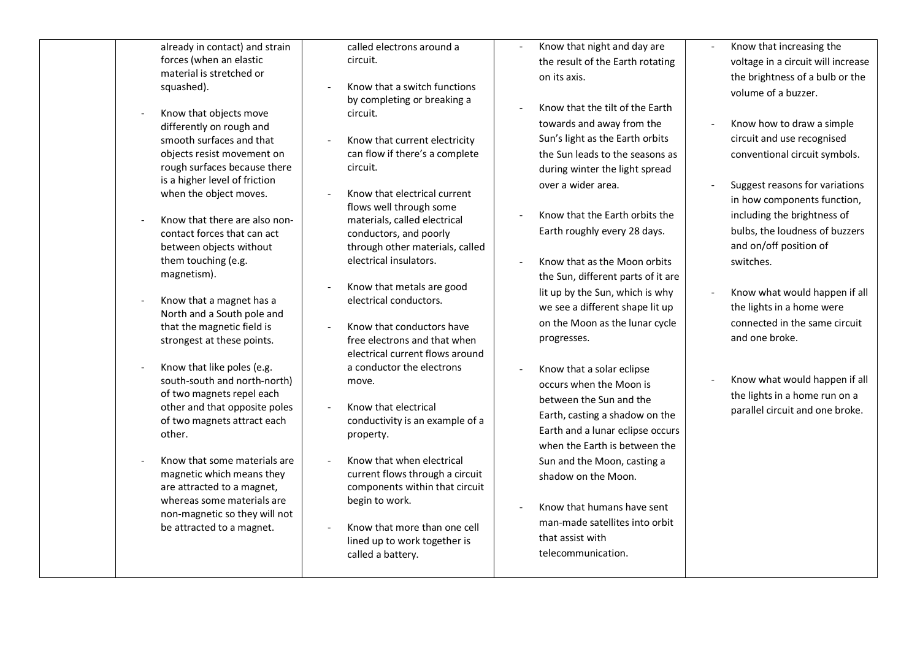already in contact) and strain forces (when an elastic material is stretched or squashed).

- Know that objects move differently on rough and smooth surfaces and that objects resist movement on rough surfaces because there is a higher level of friction when the object moves.
- Know that there are also noncontact forces that can act between objects without them touching (e.g. magnetism).
- Know that a magnet has a North and a South pole and that the magnetic field is strongest at these points.
- Know that like poles (e.g. south-south and north-north) of two magnets repel each other and that opposite poles of two magnets attract each other.
- Know that some materials are magnetic which means they are attracted to a magnet, whereas some materials are non-magnetic so they will not be attracted to a magnet.

called electrons around a circuit.

- Know that a switch functions by completing or breaking a circuit.
- Know that current electricity can flow if there's a complete circuit.
- Know that electrical current flows well through some materials, called electrical conductors, and poorly through other materials, called electrical insulators.
- Know that metals are good electrical conductors.
- Know that conductors have free electrons and that when electrical current flows around a conductor the electrons move.
- Know that electrical conductivity is an example of a property.
- Know that when electrical current flows through a circuit components within that circuit begin to work.
- Know that more than one cell lined up to work together is called a battery.
- Know that night and day are the result of the Earth rotating on its axis.
- Know that the tilt of the Earth towards and away from the Sun's light as the Earth orbits the Sun leads to the seasons as during winter the light spread over a wider area.
- Know that the Earth orbits the Earth roughly every 28 days.
- Know that as the Moon orbits the Sun, different parts of it are lit up by the Sun, which is why we see a different shape lit up on the Moon as the lunar cycle progresses.
- Know that a solar eclipse occurs when the Moon is between the Sun and the Earth, casting a shadow on the Earth and a lunar eclipse occurs when the Earth is between the Sun and the Moon, casting a shadow on the Moon.
- Know that humans have sent man-made satellites into orbit that assist with telecommunication.
- Know that increasing the voltage in a circuit will increase the brightness of a bulb or the volume of a buzzer.
- Know how to draw a simple circuit and use recognised conventional circuit symbols.
- Suggest reasons for variations in how components function, including the brightness of bulbs, the loudness of buzzers and on/off position of switches.
- Know what would happen if all the lights in a home were connected in the same circuit and one broke.
- Know what would happen if all the lights in a home run on a parallel circuit and one broke.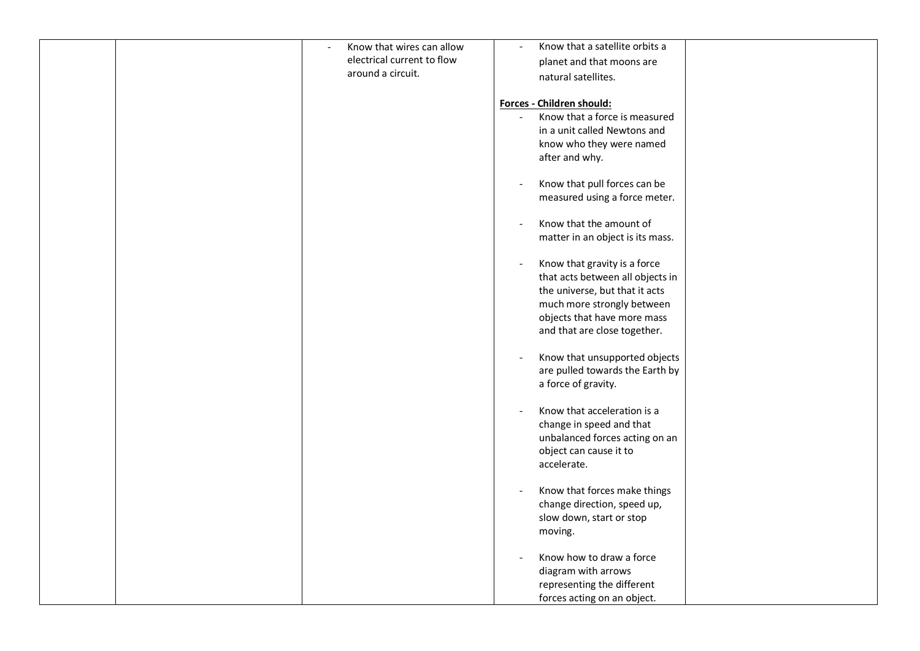|  | Know that wires can allow  | Know that a satellite orbits a   |  |
|--|----------------------------|----------------------------------|--|
|  | electrical current to flow | planet and that moons are        |  |
|  | around a circuit.          | natural satellites.              |  |
|  |                            |                                  |  |
|  |                            | Forces - Children should:        |  |
|  |                            | Know that a force is measured    |  |
|  |                            | in a unit called Newtons and     |  |
|  |                            | know who they were named         |  |
|  |                            | after and why.                   |  |
|  |                            |                                  |  |
|  |                            | Know that pull forces can be     |  |
|  |                            | measured using a force meter.    |  |
|  |                            |                                  |  |
|  |                            | Know that the amount of          |  |
|  |                            | matter in an object is its mass. |  |
|  |                            |                                  |  |
|  |                            | Know that gravity is a force     |  |
|  |                            | that acts between all objects in |  |
|  |                            | the universe, but that it acts   |  |
|  |                            | much more strongly between       |  |
|  |                            | objects that have more mass      |  |
|  |                            | and that are close together.     |  |
|  |                            |                                  |  |
|  |                            | Know that unsupported objects    |  |
|  |                            | are pulled towards the Earth by  |  |
|  |                            | a force of gravity.              |  |
|  |                            | Know that acceleration is a      |  |
|  |                            | change in speed and that         |  |
|  |                            | unbalanced forces acting on an   |  |
|  |                            | object can cause it to           |  |
|  |                            | accelerate.                      |  |
|  |                            |                                  |  |
|  |                            | Know that forces make things     |  |
|  |                            | change direction, speed up,      |  |
|  |                            | slow down, start or stop         |  |
|  |                            | moving.                          |  |
|  |                            |                                  |  |
|  |                            | Know how to draw a force         |  |
|  |                            | diagram with arrows              |  |
|  |                            | representing the different       |  |
|  |                            | forces acting on an object.      |  |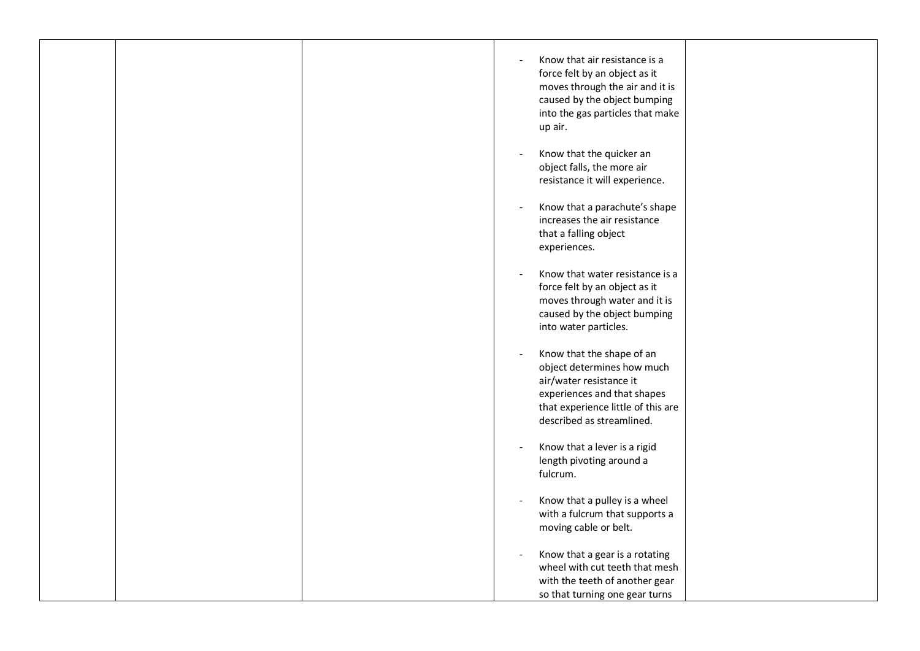|  | Know that air resistance is a<br>force felt by an object as it<br>moves through the air and it is<br>caused by the object bumping<br>into the gas particles that make<br>up air.                                 |  |
|--|------------------------------------------------------------------------------------------------------------------------------------------------------------------------------------------------------------------|--|
|  | Know that the quicker an<br>$\overline{\phantom{a}}$<br>object falls, the more air<br>resistance it will experience.                                                                                             |  |
|  | Know that a parachute's shape<br>$\overline{\phantom{a}}$<br>increases the air resistance<br>that a falling object<br>experiences.                                                                               |  |
|  | Know that water resistance is a<br>$\overline{\phantom{a}}$<br>force felt by an object as it<br>moves through water and it is<br>caused by the object bumping<br>into water particles.                           |  |
|  | Know that the shape of an<br>$\overline{\phantom{a}}$<br>object determines how much<br>air/water resistance it<br>experiences and that shapes<br>that experience little of this are<br>described as streamlined. |  |
|  | Know that a lever is a rigid<br>length pivoting around a<br>fulcrum.                                                                                                                                             |  |
|  | Know that a pulley is a wheel<br>with a fulcrum that supports a<br>moving cable or belt.                                                                                                                         |  |
|  | Know that a gear is a rotating<br>$\overline{\phantom{a}}$<br>wheel with cut teeth that mesh<br>with the teeth of another gear<br>so that turning one gear turns                                                 |  |